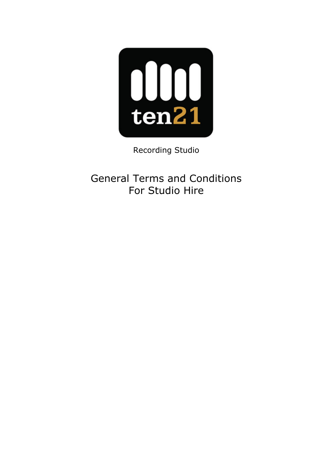

Recording Studio

General Terms and Conditions For Studio Hire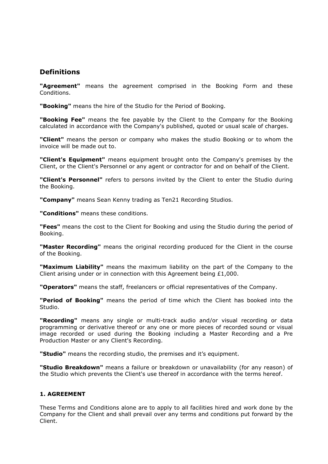# **Definitions**

"Agreement" means the agreement comprised in the Booking Form and these Conditions.

"Booking" means the hire of the Studio for the Period of Booking.

**"Booking Fee"** means the fee payable by the Client to the Company for the Booking calculated in accordance with the Company's published, quoted or usual scale of charges.

"Client" means the person or company who makes the studio Booking or to whom the invoice will be made out to.

"Client's Equipment" means equipment brought onto the Company's premises by the Client, or the Client's Personnel or any agent or contractor for and on behalf of the Client.

"Client's Personnel" refers to persons invited by the Client to enter the Studio during the Booking.

"Company" means Sean Kenny trading as Ten21 Recording Studios.

"Conditions" means these conditions.

"Fees" means the cost to the Client for Booking and using the Studio during the period of Booking.

"Master Recording" means the original recording produced for the Client in the course of the Booking.

"Maximum Liability" means the maximum liability on the part of the Company to the Client arising under or in connection with this Agreement being £1,000.

"Operators" means the staff, freelancers or official representatives of the Company.

"Period of Booking" means the period of time which the Client has booked into the Studio.

"Recording" means any single or multi-track audio and/or visual recording or data programming or derivative thereof or any one or more pieces of recorded sound or visual image recorded or used during the Booking including a Master Recording and a Pre Production Master or any Client's Recording.

"**Studio**" means the recording studio, the premises and it's equipment.

"Studio Breakdown" means a failure or breakdown or unavailability (for any reason) of the Studio which prevents the Client's use thereof in accordance with the terms hereof.

#### 1. AGREEMENT

These Terms and Conditions alone are to apply to all facilities hired and work done by the Company for the Client and shall prevail over any terms and conditions put forward by the Client.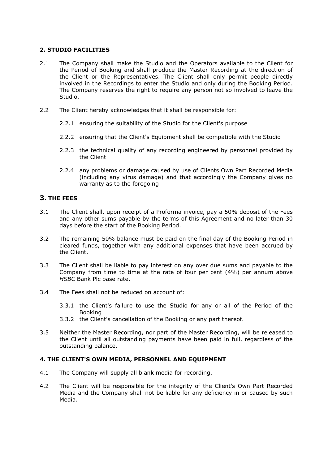# 2. STUDIO FACILITIES

- 2.1 The Company shall make the Studio and the Operators available to the Client for the Period of Booking and shall produce the Master Recording at the direction of the Client or the Representatives. The Client shall only permit people directly involved in the Recordings to enter the Studio and only during the Booking Period. The Company reserves the right to require any person not so involved to leave the Studio.
- 2.2 The Client hereby acknowledges that it shall be responsible for:
	- 2.2.1 ensuring the suitability of the Studio for the Client's purpose
	- 2.2.2 ensuring that the Client's Equipment shall be compatible with the Studio
	- 2.2.3 the technical quality of any recording engineered by personnel provided by the Client
	- 2.2.4 any problems or damage caused by use of Clients Own Part Recorded Media (including any virus damage) and that accordingly the Company gives no warranty as to the foregoing

# 3. THE FEES

- 3.1 The Client shall, upon receipt of a Proforma invoice, pay a 50% deposit of the Fees and any other sums payable by the terms of this Agreement and no later than 30 days before the start of the Booking Period.
- 3.2 The remaining 50% balance must be paid on the final day of the Booking Period in cleared funds, together with any additional expenses that have been accrued by the Client.
- 3.3 The Client shall be liable to pay interest on any over due sums and payable to the Company from time to time at the rate of four per cent (4%) per annum above HSBC Bank Plc base rate.
- 3.4 The Fees shall not be reduced on account of:
	- 3.3.1 the Client's failure to use the Studio for any or all of the Period of the Booking
	- 3.3.2 the Client's cancellation of the Booking or any part thereof.
- 3.5 Neither the Master Recording, nor part of the Master Recording, will be released to the Client until all outstanding payments have been paid in full, regardless of the outstanding balance.

### 4. THE CLIENT'S OWN MEDIA, PERSONNEL AND EQUIPMENT

- 4.1 The Company will supply all blank media for recording.
- 4.2 The Client will be responsible for the integrity of the Client's Own Part Recorded Media and the Company shall not be liable for any deficiency in or caused by such Media.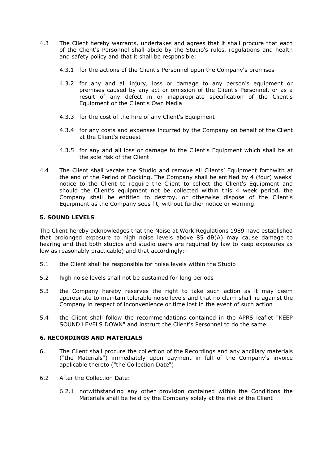- 4.3 The Client hereby warrants, undertakes and agrees that it shall procure that each of the Client's Personnel shall abide by the Studio's rules, regulations and health and safety policy and that it shall be responsible:
	- 4.3.1 for the actions of the Client's Personnel upon the Company's premises
	- 4.3.2 for any and all injury, loss or damage to any person's equipment or premises caused by any act or omission of the Client's Personnel, or as a result of any defect in or inappropriate specification of the Client's Equipment or the Client's Own Media
	- 4.3.3 for the cost of the hire of any Client's Equipment
	- 4.3.4 for any costs and expenses incurred by the Company on behalf of the Client at the Client's request
	- 4.3.5 for any and all loss or damage to the Client's Equipment which shall be at the sole risk of the Client
- 4.4 The Client shall vacate the Studio and remove all Clients' Equipment forthwith at the end of the Period of Booking. The Company shall be entitled by 4 (four) weeks' notice to the Client to require the Client to collect the Client's Equipment and should the Client's equipment not be collected within this 4 week period, the Company shall be entitled to destroy, or otherwise dispose of the Client's Equipment as the Company sees fit, without further notice or warning.

### 5. SOUND LEVELS

The Client hereby acknowledges that the Noise at Work Regulations 1989 have established that prolonged exposure to high noise levels above 85 dB(A) may cause damage to hearing and that both studios and studio users are required by law to keep exposures as low as reasonably practicable) and that accordingly:-

- 5.1 the Client shall be responsible for noise levels within the Studio
- 5.2 high noise levels shall not be sustained for long periods
- 5.3 the Company hereby reserves the right to take such action as it may deem appropriate to maintain tolerable noise levels and that no claim shall lie against the Company in respect of inconvenience or time lost in the event of such action
- 5.4 the Client shall follow the recommendations contained in the APRS leaflet "KEEP SOUND LEVELS DOWN" and instruct the Client's Personnel to do the same.

### 6. RECORDINGS AND MATERIALS

- 6.1 The Client shall procure the collection of the Recordings and any ancillary materials ("the Materials") immediately upon payment in full of the Company's invoice applicable thereto ("the Collection Date")
- 6.2 After the Collection Date:
	- 6.2.1 notwithstanding any other provision contained within the Conditions the Materials shall be held by the Company solely at the risk of the Client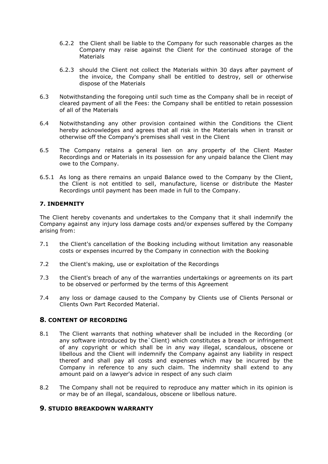- 6.2.2 the Client shall be liable to the Company for such reasonable charges as the Company may raise against the Client for the continued storage of the **Materials**
- 6.2.3 should the Client not collect the Materials within 30 days after payment of the invoice, the Company shall be entitled to destroy, sell or otherwise dispose of the Materials
- 6.3 Notwithstanding the foregoing until such time as the Company shall be in receipt of cleared payment of all the Fees: the Company shall be entitled to retain possession of all of the Materials
- 6.4 Notwithstanding any other provision contained within the Conditions the Client hereby acknowledges and agrees that all risk in the Materials when in transit or otherwise off the Company's premises shall vest in the Client
- 6.5 The Company retains a general lien on any property of the Client Master Recordings and or Materials in its possession for any unpaid balance the Client may owe to the Company.
- 6.5.1 As long as there remains an unpaid Balance owed to the Company by the Client, the Client is not entitled to sell, manufacture, license or distribute the Master Recordings until payment has been made in full to the Company.

### 7. INDEMNITY

The Client hereby covenants and undertakes to the Company that it shall indemnify the Company against any injury loss damage costs and/or expenses suffered by the Company arising from:

- 7.1 the Client's cancellation of the Booking including without limitation any reasonable costs or expenses incurred by the Company in connection with the Booking
- 7.2 the Client's making, use or exploitation of the Recordings
- 7.3 the Client's breach of any of the warranties undertakings or agreements on its part to be observed or performed by the terms of this Agreement
- 7.4 any loss or damage caused to the Company by Clients use of Clients Personal or Clients Own Part Recorded Material.

### 8. CONTENT OF RECORDING

- 8.1 The Client warrants that nothing whatever shall be included in the Recording (or any software introduced by the`Client) which constitutes a breach or infringement of any copyright or which shall be in any way illegal, scandalous, obscene or libellous and the Client will indemnify the Company against any liability in respect thereof and shall pay all costs and expenses which may be incurred by the Company in reference to any such claim. The indemnity shall extend to any amount paid on a lawyer's advice in respect of any such claim
- 8.2 The Company shall not be required to reproduce any matter which in its opinion is or may be of an illegal, scandalous, obscene or libellous nature.

### 9. STUDIO BREAKDOWN WARRANTY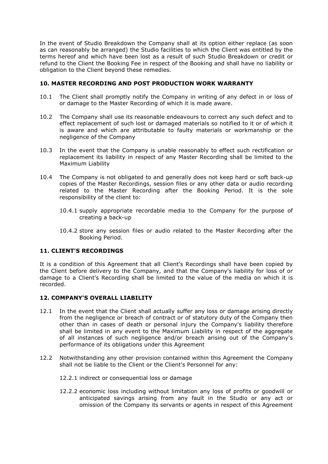In the event of Studio Breakdown the Company shall at its option either replace (as soon as can reasonably be arranged) the Studio facilities to which the Client was entitled by the terms hereof and which have been lost as a result of such Studio Breakdown or credit or refund to the Client the Booking Fee in respect of the Booking and shall have no liability or obligation to the Client beyond these remedies.

### 10. MASTER RECORDING AND POST PRODUCTION WORK WARRANTY

- 10.1 The Client shall promptly notify the Company in writing of any defect in or loss of or damage to the Master Recording of which it is made aware.
- 10.2 The Company shall use its reasonable endeavours to correct any such defect and to effect replacement of such lost or damaged materials so notified to it or of which it is aware and which are attributable to faulty materials or workmanship or the negligence of the Company
- 10.3 In the event that the Company is unable reasonably to effect such rectification or replacement its liability in respect of any Master Recording shall be limited to the Maximum Liability
- 10.4 The Company is not obligated to and generally does not keep hard or soft back-up copies of the Master Recordings, session files or any other data or audio recording related to the Master Recording after the Booking Period. It is the sole responsibility of the client to:
	- 10.4.1 supply appropriate recordable media to the Company for the purpose of creating a back-up
	- 10.4.2 store any session files or audio related to the Master Recording after the Booking Period.

#### 11. CLIENT'S RECORDINGS

It is a condition of this Agreement that all Client's Recordings shall have been copied by the Client before delivery to the Company, and that the Company's liability for loss of or damage to a Client's Recording shall be limited to the value of the media on which it is recorded.

### 12. COMPANY'S OVERALL LIABILITY

- 12.1 In the event that the Client shall actually suffer any loss or damage arising directly from the negligence or breach of contract or of statutory duty of the Company then other than in cases of death or personal injury the Company's liability therefore shall be limited in any event to the Maximum Liability in respect of the aggregate of all instances of such negligence and/or breach arising out of the Company's performance of its obligations under this Agreement
- 12.2 Notwithstanding any other provision contained within this Agreement the Company shall not be liable to the Client or the Client's Personnel for any:
	- 12.2.1 indirect or consequential loss or damage
	- 12.2.2 economic loss including without limitation any loss of profits or goodwill or anticipated savings arising from any fault in the Studio or any act or omission of the Company its servants or agents in respect of this Agreement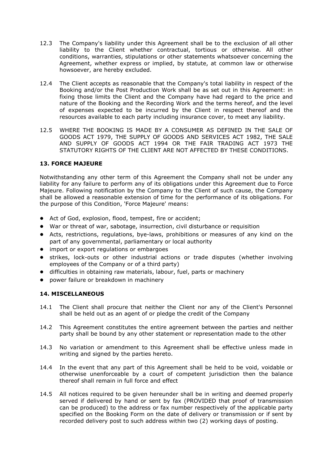- 12.3 The Company's liability under this Agreement shall be to the exclusion of all other liability to the Client whether contractual, tortious or otherwise. All other conditions, warranties, stipulations or other statements whatsoever concerning the Agreement, whether express or implied, by statute, at common law or otherwise howsoever, are hereby excluded.
- 12.4 The Client accepts as reasonable that the Company's total liability in respect of the Booking and/or the Post Production Work shall be as set out in this Agreement: in fixing those limits the Client and the Company have had regard to the price and nature of the Booking and the Recording Work and the terms hereof, and the level of expenses expected to be incurred by the Client in respect thereof and the resources available to each party including insurance cover, to meet any liability.
- 12.5 WHERE THE BOOKING IS MADE BY A CONSUMER AS DEFINED IN THE SALE OF GOODS ACT 1979, THE SUPPLY OF GOODS AND SERVICES ACT 1982, THE SALE AND SUPPLY OF GOODS ACT 1994 OR THE FAIR TRADING ACT 1973 THE STATUTORY RIGHTS OF THE CLIENT ARE NOT AFFECTED BY THESE CONDITIONS.

### 13. FORCE MAJEURE

Notwithstanding any other term of this Agreement the Company shall not be under any liability for any failure to perform any of its obligations under this Agreement due to Force Majeure. Following notification by the Company to the Client of such cause, the Company shall be allowed a reasonable extension of time for the performance of its obligations. For the purpose of this Condition, 'Force Majeure' means:

- Act of God, explosion, flood, tempest, fire or accident;
- War or threat of war, sabotage, insurrection, civil disturbance or requisition
- Acts, restrictions, regulations, bye-laws, prohibitions or measures of any kind on the part of any governmental, parliamentary or local authority
- import or export regulations or embargoes
- strikes, lock-outs or other industrial actions or trade disputes (whether involving employees of the Company or of a third party)
- difficulties in obtaining raw materials, labour, fuel, parts or machinery
- power failure or breakdown in machinery

### 14. MISCELLANEOUS

- 14.1 The Client shall procure that neither the Client nor any of the Client's Personnel shall be held out as an agent of or pledge the credit of the Company
- 14.2 This Agreement constitutes the entire agreement between the parties and neither party shall be bound by any other statement or representation made to the other
- 14.3 No variation or amendment to this Agreement shall be effective unless made in writing and signed by the parties hereto.
- 14.4 In the event that any part of this Agreement shall be held to be void, voidable or otherwise unenforceable by a court of competent jurisdiction then the balance thereof shall remain in full force and effect
- 14.5 All notices required to be given hereunder shall be in writing and deemed properly served if delivered by hand or sent by fax (PROVIDED that proof of transmission can be produced) to the address or fax number respectively of the applicable party specified on the Booking Form on the date of delivery or transmission or if sent by recorded delivery post to such address within two (2) working days of posting.